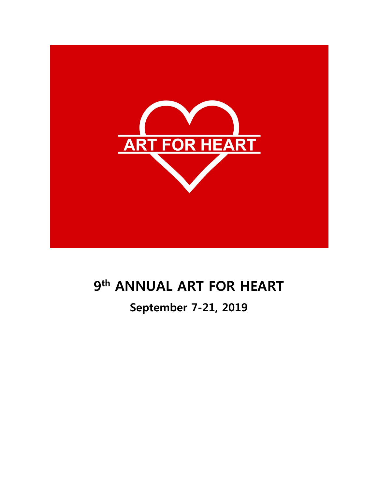

# **9th ANNUAL ART FOR HEART**

# **September 7-21, 2019**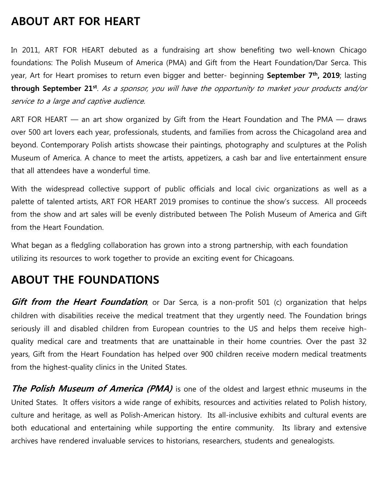## **ABOUT ART FOR HEART**

In 2011, ART FOR HEART debuted as a fundraising art show benefiting two well-known Chicago foundations: The Polish Museum of America (PMA) and Gift from the Heart Foundation/Dar Serca. This year, Art for Heart promises to return even bigger and better- beginning **September 7th, 2019**; lasting **through September 21st**. As a sponsor, you will have the opportunity to market your products and/or service to a large and captive audience.

ART FOR HEART — an art show organized by Gift from the Heart Foundation and The PMA — draws over 500 art lovers each year, professionals, students, and families from across the Chicagoland area and beyond. Contemporary Polish artists showcase their paintings, photography and sculptures at the Polish Museum of America. A chance to meet the artists, appetizers, a cash bar and live entertainment ensure that all attendees have a wonderful time.

With the widespread collective support of public officials and local civic organizations as well as a palette of talented artists, ART FOR HEART 2019 promises to continue the show's success. All proceeds from the show and art sales will be evenly distributed between The Polish Museum of America and Gift from the Heart Foundation.

What began as a fledgling collaboration has grown into a strong partnership, with each foundation utilizing its resources to work together to provide an exciting event for Chicagoans.

### **ABOUT THE FOUNDATIONS**

**Gift from the Heart Foundation**, or Dar Serca, is a non-profit 501 (c) organization that helps children with disabilities receive the medical treatment that they urgently need. The Foundation brings seriously ill and disabled children from European countries to the US and helps them receive highquality medical care and treatments that are unattainable in their home countries. Over the past 32 years, Gift from the Heart Foundation has helped over 900 children receive modern medical treatments from the highest-quality clinics in the United States.

**The Polish Museum of America (PMA)** is one of the oldest and largest ethnic museums in the United States. It offers visitors a wide range of exhibits, resources and activities related to Polish history, culture and heritage, as well as Polish-American history. Its all-inclusive exhibits and cultural events are both educational and entertaining while supporting the entire community. Its library and extensive archives have rendered invaluable services to historians, researchers, students and genealogists.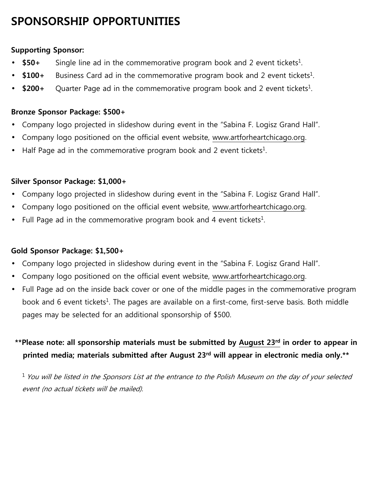# **SPONSORSHIP OPPORTUNITIES**

### **Supporting Sponsor:**

- \$50+ Single line ad in the commemorative program book and 2 event tickets<sup>1</sup>.
- \$100+ Business Card ad in the commemorative program book and 2 event tickets<sup>1</sup>.
- \$200+ Quarter Page ad in the commemorative program book and 2 event tickets<sup>1</sup>.

### **Bronze Sponsor Package: \$500+**

- Company logo projected in slideshow during event in the "Sabina F. Logisz Grand Hall".
- Company logo positioned on the official event website, www.artforheartchicago.org.
- Half Page ad in the commemorative program book and 2 event tickets<sup>1</sup>.

### **Silver Sponsor Package: \$1,000+**

- Company logo projected in slideshow during event in the "Sabina F. Logisz Grand Hall".
- Company logo positioned on the official event website, www.artforheartchicago.org.
- Full Page ad in the commemorative program book and 4 event tickets<sup>1</sup>.

### **Gold Sponsor Package: \$1,500+**

- Company logo projected in slideshow during event in the "Sabina F. Logisz Grand Hall".
- Company logo positioned on the official event website, www.artforheartchicago.org.
- Full Page ad on the inside back cover or one of the middle pages in the commemorative program book and 6 event tickets<sup>1</sup>. The pages are available on a first-come, first-serve basis. Both middle pages may be selected for an additional sponsorship of \$500.

### **\*\*Please note: all sponsorship materials must be submitted by August 23rd in order to appear in printed media; materials submitted after August 23rd will appear in electronic media only.\*\***

 $1$  You will be listed in the Sponsors List at the entrance to the Polish Museum on the day of your selected event (no actual tickets will be mailed).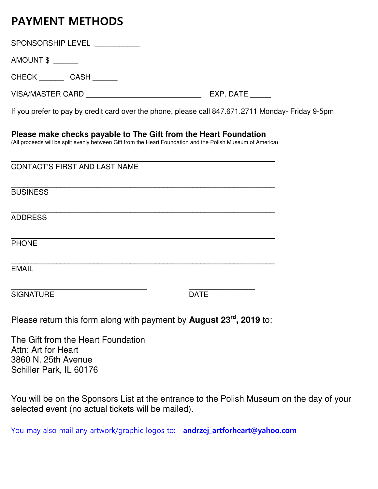# **PAYMENT METHODS**

| <b>SPONSORSHIP LEVEL</b> |  |
|--------------------------|--|
|                          |  |

AMOUNT \$ \_\_\_\_\_\_

CHECK CASH

VISA/MASTER CARD \_\_\_\_\_\_\_\_\_\_\_\_\_\_\_\_\_\_\_\_\_\_\_\_\_\_\_\_ EXP. DATE \_\_\_\_\_

If you prefer to pay by credit card over the phone, please call 847.671.2711 Monday- Friday 9-5pm

**Please make checks payable to The Gift from the Heart Foundation**

(All proceeds will be split evenly between Gift from the Heart Foundation and the Polish Museum of America)

| <b>CONTACT'S FIRST AND LAST NAME</b> |             |
|--------------------------------------|-------------|
| <b>BUSINESS</b>                      |             |
| <b>ADDRESS</b>                       |             |
| <b>PHONE</b>                         |             |
| <b>EMAIL</b>                         |             |
| <b>SIGNATURE</b>                     | <b>DATE</b> |

Please return this form along with payment by **August 23rd, 2019** to:

The Gift from the Heart Foundation Attn: Art for Heart 3860 N. 25th Avenue Schiller Park, IL 60176

You will be on the Sponsors List at the entrance to the Polish Museum on the day of your selected event (no actual tickets will be mailed).

You may also mail any artwork/graphic logos to: **andrzej\_artforheart@yahoo.com**